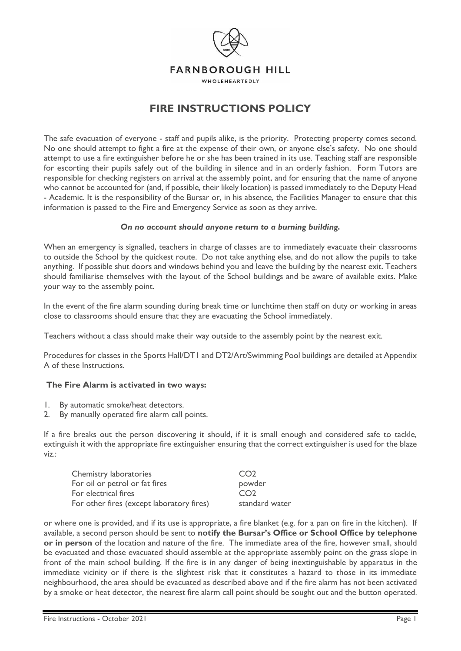

# **FIRE INSTRUCTIONS POLICY**

The safe evacuation of everyone - staff and pupils alike, is the priority. Protecting property comes second. No one should attempt to fight a fire at the expense of their own, or anyone else's safety. No one should attempt to use a fire extinguisher before he or she has been trained in its use. Teaching staff are responsible for escorting their pupils safely out of the building in silence and in an orderly fashion. Form Tutors are responsible for checking registers on arrival at the assembly point, and for ensuring that the name of anyone who cannot be accounted for (and, if possible, their likely location) is passed immediately to the Deputy Head - Academic. It is the responsibility of the Bursar or, in his absence, the Facilities Manager to ensure that this information is passed to the Fire and Emergency Service as soon as they arrive.

## *On no account should anyone return to a burning building.*

When an emergency is signalled, teachers in charge of classes are to immediately evacuate their classrooms to outside the School by the quickest route. Do not take anything else, and do not allow the pupils to take anything. If possible shut doors and windows behind you and leave the building by the nearest exit. Teachers should familiarise themselves with the layout of the School buildings and be aware of available exits. Make your way to the assembly point.

In the event of the fire alarm sounding during break time or lunchtime then staff on duty or working in areas close to classrooms should ensure that they are evacuating the School immediately.

Teachers without a class should make their way outside to the assembly point by the nearest exit.

Procedures for classes in the Sports Hall/DT1 and DT2/Art/Swimming Pool buildings are detailed at Appendix A of these Instructions.

## **The Fire Alarm is activated in two ways:**

- 1. By automatic smoke/heat detectors.
- 2. By manually operated fire alarm call points.

If a fire breaks out the person discovering it should, if it is small enough and considered safe to tackle, extinguish it with the appropriate fire extinguisher ensuring that the correct extinguisher is used for the blaze viz.:

| Chemistry laboratories                    | CO <sub>2</sub> |
|-------------------------------------------|-----------------|
| For oil or petrol or fat fires            | powder          |
| For electrical fires                      | CO <sub>2</sub> |
| For other fires (except laboratory fires) | standard water  |

or where one is provided, and if its use is appropriate, a fire blanket (e.g. for a pan on fire in the kitchen). If available, a second person should be sent to **notify the Bursar's Office or School Office by telephone or in person** of the location and nature of the fire. The immediate area of the fire, however small, should be evacuated and those evacuated should assemble at the appropriate assembly point on the grass slope in front of the main school building. If the fire is in any danger of being inextinguishable by apparatus in the immediate vicinity or if there is the slightest risk that it constitutes a hazard to those in its immediate neighbourhood, the area should be evacuated as described above and if the fire alarm has not been activated by a smoke or heat detector, the nearest fire alarm call point should be sought out and the button operated.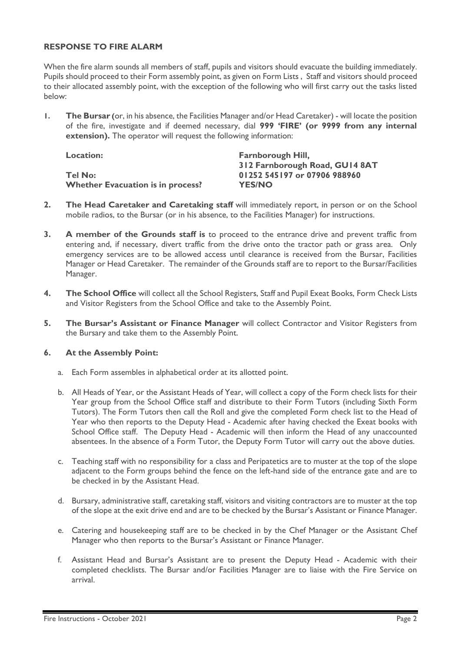## **RESPONSE TO FIRE ALARM**

When the fire alarm sounds all members of staff, pupils and visitors should evacuate the building immediately. Pupils should proceed to their Form assembly point, as given on Form Lists , Staff and visitors should proceed to their allocated assembly point, with the exception of the following who will first carry out the tasks listed below:

**1. The Bursar (**or, in his absence, the Facilities Manager and/or Head Caretaker) - will locate the position of the fire, investigate and if deemed necessary, dial **999 'FIRE' (or 9999 from any internal extension).** The operator will request the following information:

| <b>Location:</b>                         | <b>Farnborough Hill,</b>       |
|------------------------------------------|--------------------------------|
|                                          | 312 Farnborough Road, GU14 8AT |
| Tel No:                                  | 01252 545197 or 07906 988960   |
| <b>Whether Evacuation is in process?</b> | <b>YES/NO</b>                  |

- **2. The Head Caretaker and Caretaking staff** will immediately report, in person or on the School mobile radios, to the Bursar (or in his absence, to the Facilities Manager) for instructions.
- **3. A member of the Grounds staff is** to proceed to the entrance drive and prevent traffic from entering and, if necessary, divert traffic from the drive onto the tractor path or grass area. Only emergency services are to be allowed access until clearance is received from the Bursar, Facilities Manager or Head Caretaker. The remainder of the Grounds staff are to report to the Bursar/Facilities Manager.
- **4. The School Office** will collect all the School Registers, Staff and Pupil Exeat Books, Form Check Lists and Visitor Registers from the School Office and take to the Assembly Point.
- **5. The Bursar's Assistant or Finance Manager** will collect Contractor and Visitor Registers from the Bursary and take them to the Assembly Point.

#### **6. At the Assembly Point:**

- a. Each Form assembles in alphabetical order at its allotted point.
- b. All Heads of Year, or the Assistant Heads of Year, will collect a copy of the Form check lists for their Year group from the School Office staff and distribute to their Form Tutors (including Sixth Form Tutors). The Form Tutors then call the Roll and give the completed Form check list to the Head of Year who then reports to the Deputy Head - Academic after having checked the Exeat books with School Office staff. The Deputy Head - Academic will then inform the Head of any unaccounted absentees. In the absence of a Form Tutor, the Deputy Form Tutor will carry out the above duties.
- c. Teaching staff with no responsibility for a class and Peripatetics are to muster at the top of the slope adjacent to the Form groups behind the fence on the left-hand side of the entrance gate and are to be checked in by the Assistant Head.
- d. Bursary, administrative staff, caretaking staff, visitors and visiting contractors are to muster at the top of the slope at the exit drive end and are to be checked by the Bursar's Assistant or Finance Manager.
- e. Catering and housekeeping staff are to be checked in by the Chef Manager or the Assistant Chef Manager who then reports to the Bursar's Assistant or Finance Manager.
- f. Assistant Head and Bursar's Assistant are to present the Deputy Head Academic with their completed checklists. The Bursar and/or Facilities Manager are to liaise with the Fire Service on arrival.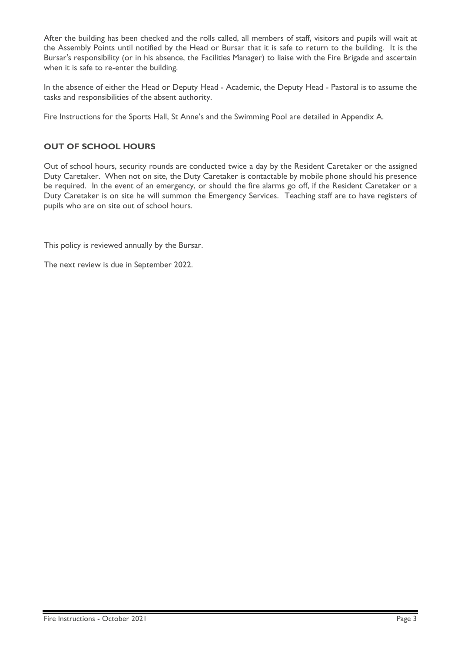After the building has been checked and the rolls called, all members of staff, visitors and pupils will wait at the Assembly Points until notified by the Head or Bursar that it is safe to return to the building. It is the Bursar's responsibility (or in his absence, the Facilities Manager) to liaise with the Fire Brigade and ascertain when it is safe to re-enter the building.

In the absence of either the Head or Deputy Head - Academic, the Deputy Head - Pastoral is to assume the tasks and responsibilities of the absent authority.

Fire Instructions for the Sports Hall, St Anne's and the Swimming Pool are detailed in Appendix A.

# **OUT OF SCHOOL HOURS**

Out of school hours, security rounds are conducted twice a day by the Resident Caretaker or the assigned Duty Caretaker. When not on site, the Duty Caretaker is contactable by mobile phone should his presence be required. In the event of an emergency, or should the fire alarms go off, if the Resident Caretaker or a Duty Caretaker is on site he will summon the Emergency Services. Teaching staff are to have registers of pupils who are on site out of school hours.

This policy is reviewed annually by the Bursar.

The next review is due in September 2022.